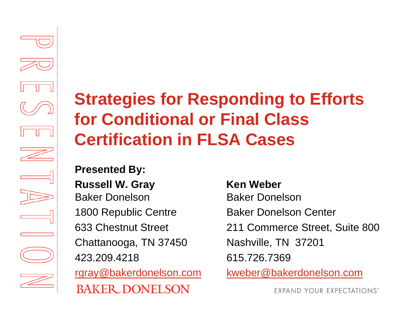## **Strategies for Responding to Efforts for Conditional or Final Class Certification in FLSA Cases**

**Presented By: Russell W. Gray Constructs Ken Weber** Baker Donelson Baker Donelson1800 Republic Centre **Baker Donelson Center** Chattanooga, TN 37450 Nashville, TN 37201 423.209.4218 615.726.7369**BAKER DONELSON** 

633 Chestnut Street 211 Commerce Street, Suite 800 rgray@bakerdonelson.com kweber@bakerdonelson.com

**EXPAND YOUR EXPECTATIONS\***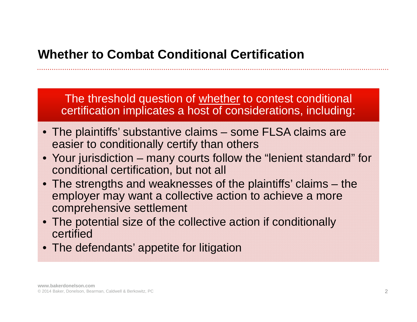The threshold question of whether to contest conditional certification implicates a host of considerations, including:

- The plaintiffs' substantive claims some FLSA claims are easier to conditionally certify than others
- Your jurisdiction many courts follow the "lenient standard" for conditional certification, but not all
- The strengths and weaknesses of the plaintiffs' claims the employer may want a collective action to achieve a more comprehensive settlement
- The potential size of the collective action if conditionally certified
- The defendants' appetite for litigation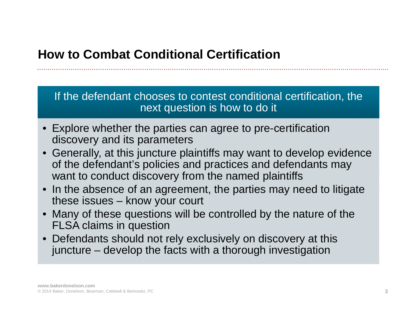If the defendant chooses to contest conditional certification, the next question is how to do it

- Explore whether the parties can agree to pre-certification discovery and its parameters
- • Generally, at this juncture plaintiffs may want to develop evidence of the defendant's policies and practices and defendants may want to conduct discovery from the named plaintiffs
- •In the absence of an agreement, the parties may need to litigate these issues – know your court
- $\bullet$  Many of these questions will be controlled by the nature of the FLSA claims in question
- Defendants should not rely exclusively on discovery at this juncture – develop the facts with a thorough investigation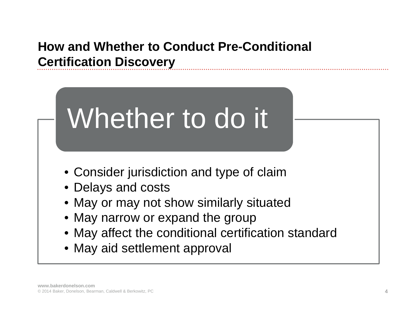### **How and Whether to Conduct Pre-Conditional Certification Discovery**



• May aid settlement approval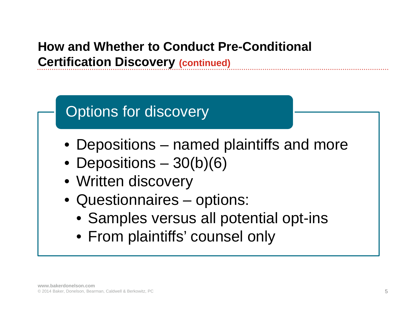### **How and Whether to Conduct Pre-Conditional Certification Discovery (continued)**

## Options for discovery

- Depositions named plaintiffs and more
- Depositions 30(b)(6)
- Written discovery
- Questionnaires options:
	- Samples versus all potential opt-ins
	- From plaintiffs' counsel only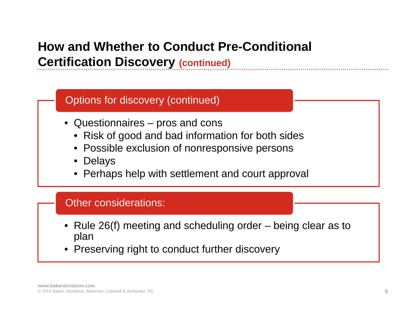### **How and Whether to Conduct Pre-Conditional Certification Discovery (continued)**

#### Options for discovery (continued)

- Questionnaires pros and cons
	- Risk of good and bad information for both sides
	- Possible exclusion of nonresponsive persons
	- Delays
	- Perhaps help with settlement and court approval

#### Other considerations:

- Rule 26(f) meeting and scheduling order being clear as to plan
- •Preserving right to conduct further discovery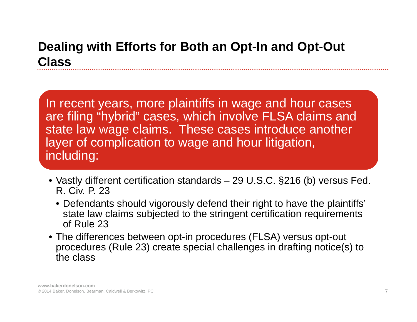### **Dealing with Efforts for Both an Opt-In and Opt-Out Class**

In recent years, more plaintiffs in wage and hour cases are filing "hybrid" cases, which involve FLSA claims and state law wage claims. These cases introduce another layer of complication to wage and hour litigation, including:

- Vastly different certification standards 29 U.S.C. §216 (b) versus Fed. R. Civ. P. 23
	- Defendants should vigorously defend their right to have the plaintiffs' state law claims subjected to the stringent certification requirements of Rule 23
- The differences between opt-in procedures (FLSA) versus opt-out procedures (Rule 23) create special challenges in drafting notice(s) to the class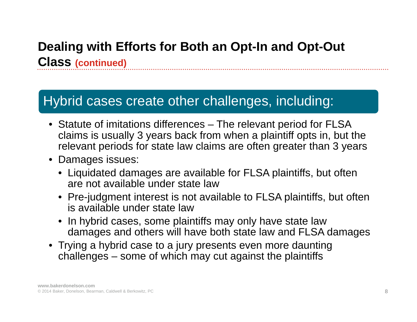### **Dealing with Efforts for Both an Opt-In and Opt-Out Class (continued)**

### Hybrid cases create other challenges, including:

- Statute of imitations differences The relevant period for FLSA claims is usually 3 years back from when a plaintiff opts in, but the relevant periods for state law claims are often greater than 3 years
- Damages issues:
	- Liquidated damages are available for FLSA plaintiffs, but often are not available under state law
	- Pre-judgment interest is not available to FLSA plaintiffs, but often is available under state law
	- $\bullet$  In hybrid cases, some plaintiffs may only have state law damages and others will have both state law and FLSA damages
- Trying a hybrid case to a jury presents even more daunting challenges – some of which may cut against the plaintiffs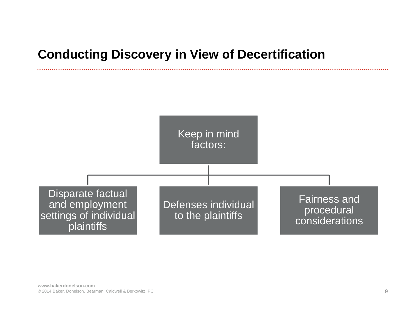#### **Conducting Discovery in View of Decertification**

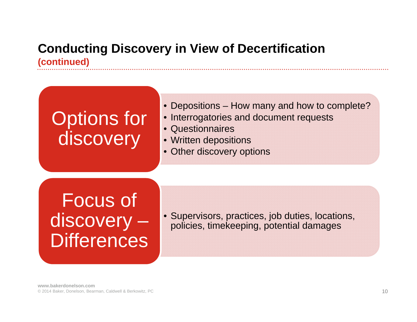#### **Conducting Discovery in View of Decertification (continued)**

## Options for discovery

#### • Depositions – How many and how to complete?

- Interrogatories and document requests
- Questionnaires
- Written depositions
- Other discovery options

## Focus of discovery – **Differences**

• Supervisors, practices, job duties, locations, policies, timekeeping, potential damages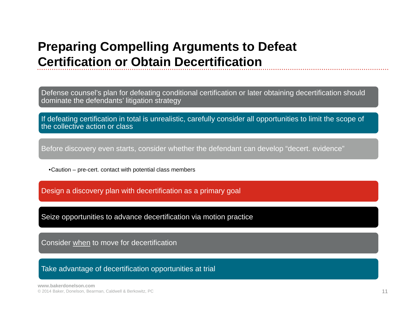#### **Preparing Compelling Arguments to Defeat Certification or Obtain Decertification**

Defense counsel's plan for defeating conditional certification or later obtaining decertification should dominate the defendants' litigation strategy

If defeating certification in total is unrealistic, carefully consider all opportunities to limit the scope of the collective action or class

Before discovery even starts, consider whether the defendant can develop "decert. evidence"

•Caution – pre-cert. contact with potential class members

Design a discovery plan with decertification as a primary goal

Seize opportunities to advance decertification via motion practice

Consider when to move for decertification

Take advantage of decertification opportunities at trial

**www.bakerdonelson.com**© 2014 Baker, Donelson, Bearman, Caldwell & Berkowitz, PC